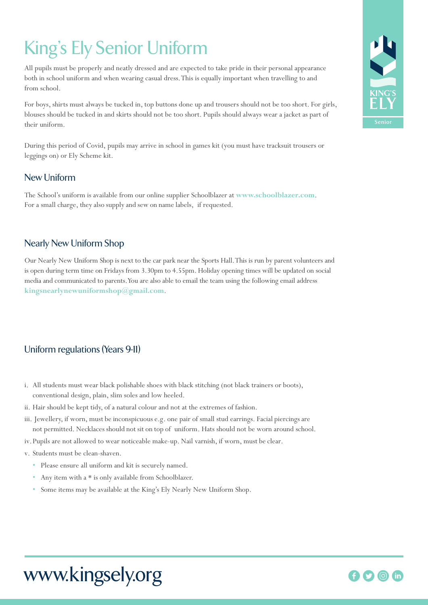# King's Ely Senior Uniform

All pupils must be properly and neatly dressed and are expected to take pride in their personal appearance both in school uniform and when wearing casual dress. This is equally important when travelling to and from school.

For boys, shirts must always be tucked in, top buttons done up and trousers should not be too short. For girls, blouses should be tucked in and skirts should not be too short. Pupils should always wear a jacket as part of their uniform.

During this period of Covid, pupils may arrive in school in games kit (you must have tracksuit trousers or leggings on) or Ely Scheme kit.

### New Uniform

The School's uniform is available from our online supplier Schoolblazer at **www.schoolblazer.com**. For a small charge, they also supply and sew on name labels, if requested.

### Nearly New Uniform Shop

Our Nearly New Uniform Shop is next to the car park near the Sports Hall.This is run by parent volunteers and is open during term time on Fridays from 3.30pm to 4.55pm. Holiday opening times will be updated on social media and communicated to parents.You are also able to email the team using the following email address **kingsnearlynewuniformshop@gmail.com**.

## Uniform regulations (Years 9-11)

- i. All students must wear black polishable shoes with black stitching (not black trainers or boots), conventional design, plain, slim soles and low heeled.
- ii. Hair should be kept tidy, of a natural colour and not at the extremes of fashion.
- iii. Jewellery, if worn, must be inconspicuous e.g. one pair of small stud earrings. Facial piercings are not permitted. Necklaces should not sit on top of uniform. Hats should not be worn around school.
- iv.Pupils are not allowed to wear noticeable make-up. Nail varnish, if worn, must be clear.
- v. Students must be clean-shaven.
	- Please ensure all uniform and kit is securely named.
	- Any item with a \* is only available from Schoolblazer.
	- Some items may be available at the King's Ely Nearly New Uniform Shop.



## www.kingsely.org

## **f**  $\bullet$  0 (in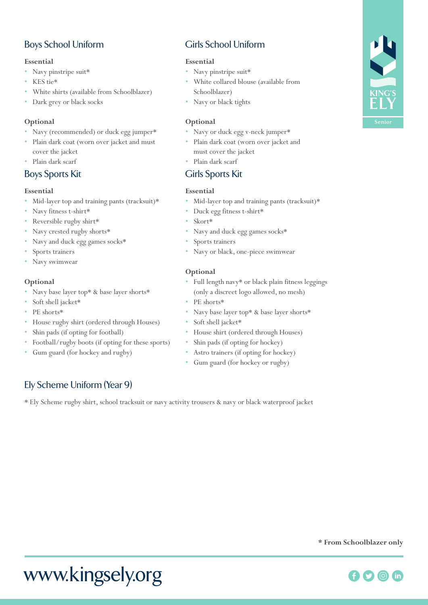## Boys School Uniform

#### **Essential**

- Navy pinstripe suit\*
- KES tie\*
- White shirts (available from Schoolblazer)
- Dark grey or black socks

#### **Optional**

- Navy (recommended) or duck egg jumper\*
- Plain dark coat (worn over jacket and must cover the jacket
- Plain dark scarf

## **Boys Sports Kit**

#### **Essential**

- Mid-layer top and training pants (tracksuit)\*
- Navy fitness t-shirt\*
- Reversible rugby shirt\*
- Navy crested rugby shorts\*
- Navy and duck egg games socks\*
- Sports trainers
- Navy swimwear

#### **Optional**

- Navy base layer top\* & base layer shorts\*
- Soft shell jacket\*
- PE shorts\*
- House rugby shirt (ordered through Houses)
- Shin pads (if opting for football)
- Football/rugby boots (if opting for these sports)
- Gum guard (for hockey and rugby)

## Ely Scheme Uniform (Year 9)

\* Ely Scheme rugby shirt, school tracksuit or navy activity trousers & navy or black waterproof jacket

## Girls School Uniform

#### **Essential**

- Navy pinstripe suit\*
- White collared blouse (available from Schoolblazer)
- Navy or black tights

#### **Optional**

- Navy or duck egg v-neck jumper\*
- Plain dark coat (worn over jacket and must cover the jacket
	- Plain dark scarf

#### Girls Sports Kit

#### **Essential**

- Mid-layer top and training pants (tracksuit)\*
- Duck egg fitness t-shirt\*
- Skort\*
- Navy and duck egg games socks\*
- Sports trainers
- Navy or black, one-piece swimwear

#### **Optional**

- Full length navy\* or black plain fitness leggings (only a discreet logo allowed, no mesh)
- PE shorts\*
- Navy base layer top\* & base layer shorts\*
- Soft shell jacket\*
- House shirt (ordered through Houses)
- Shin pads (if opting for hockey)
- Astro trainers (if opting for hockey)
- Gum guard (for hockey or rugby)





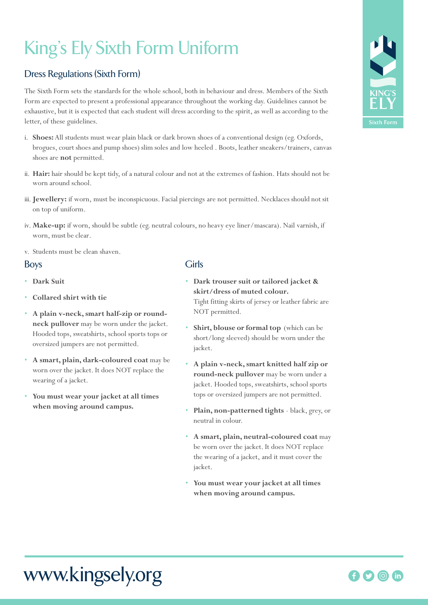# King's Ely Sixth Form Uniform

## Dress Regulations (Sixth Form)

The Sixth Form sets the standards for the whole school, both in behaviour and dress. Members of the Sixth Form are expected to present a professional appearance throughout the working day. Guidelines cannot be exhaustive, but it is expected that each student will dress according to the spirit, as well as according to the letter, of these guidelines.

- i. **Shoes:** All students must wear plain black or dark brown shoes of a conventional design (eg. Oxfords, brogues, court shoes and pump shoes) slim soles and low heeled . Boots, leather sneakers/trainers, canvas shoes are **not** permitted.
- ii. **Hair:** hair should be kept tidy, of a natural colour and not at the extremes of fashion. Hats should not be worn around school.
- iii.**Jewellery:** if worn, must be inconspicuous. Facial piercings are not permitted. Necklaces should not sit on top of uniform.
- iv. **Make-up:** if worn, should be subtle (eg. neutral colours, no heavy eye liner/mascara). Nail varnish, if worn, must be clear.
- v. Students must be clean shaven.

#### Boys

- **Dark Suit**
- **Collared shirt with tie**
- **A plain v-neck, smart half-zip or roundneck pullover** may be worn under the jacket. Hooded tops, sweatshirts, school sports tops or oversized jumpers are not permitted.
- **A smart, plain, dark-coloured coat** may be worn over the jacket. It does NOT replace the wearing of a jacket.
- **You must wear your jacket at all times when moving around campus.**

#### Girls

- **Dark trouser suit or tailored jacket & skirt/dress of muted colour.** Tight fitting skirts of jersey or leather fabric are NOT permitted.
- Shirt, blouse or formal top (which can be short/long sleeved) should be worn under the jacket.
- **A plain v-neck, smart knitted half zip or round-neck pullover** may be worn under a jacket. Hooded tops, sweatshirts, school sports tops or oversized jumpers are not permitted.
- **Plain, non-patterned tights** black, grey, or neutral in colour.
- **A smart, plain, neutral-coloured coat** may be worn over the jacket. It does NOT replace the wearing of a jacket, and it must cover the jacket.
- **You must wear your jacket at all times when moving around campus.**



## www.kingsely.org

## 00 th